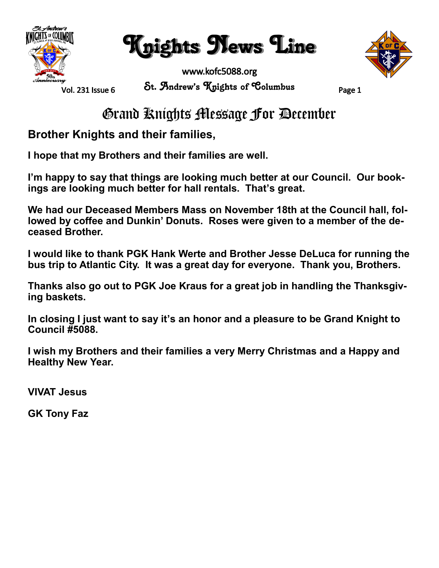

Knights News Line



Vol. 231 Issue 6

www.kofc5088.org St. Andrew's Knights of Columbus Page 1

### Grand Knights Message For December

**Brother Knights and their families,**

**I hope that my Brothers and their families are well.**

**I'm happy to say that things are looking much better at our Council. Our bookings are looking much better for hall rentals. That's great.**

**We had our Deceased Members Mass on November 18th at the Council hall, fol**lowed by coffee and Dunkin' Donuts. Roses were given to a member of the de**ceased Brother.**

**I would like to thank PGK Hank Werte and Brother Jesse DeLuca for running the bus trip to Atlantic City. It was a great day for everyone. Thank you, Brothers.**

**Thanks also go out to PGK Joe Kraus for a great job in handling the Thanksgiving baskets.**

**In closing I just want to say it's an honor and a pleasure to be Grand Knight to Council #5088.**

**I wish my Brothers and their families a very Merry Christmas and a Happy and Healthy New Year.**

**VIVAT Jesus**

**GK Tony Faz**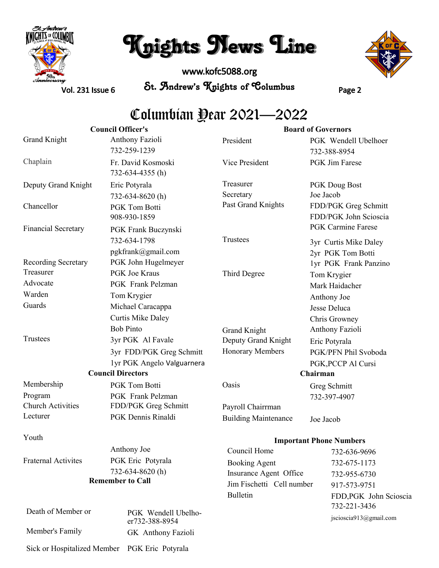

# Knights News Line

www.kofc5088.org St. Andrew's Knights of Columbus Page 2



Vol. 231 Issue 6

### Columbian Year 2021—2022

|                             | <b>Council Officer's</b>                  |                             | <b>Board of Governors</b>                     |
|-----------------------------|-------------------------------------------|-----------------------------|-----------------------------------------------|
| Grand Knight                | Anthony Fazioli<br>732-259-1239           | President                   | PGK Wendell Ubelhoer<br>732-388-8954          |
| Chaplain                    | Fr. David Kosmoski<br>732-634-4355 (h)    | Vice President              | PGK Jim Farese                                |
| Deputy Grand Knight         | Eric Potyrala                             | Treasurer                   | PGK Doug Bost                                 |
|                             | 732-634-8620(h)                           | Secretary                   | Joe Jacob                                     |
| Chancellor                  | <b>PGK Tom Botti</b><br>908-930-1859      | Past Grand Knights          | FDD/PGK Greg Schmitt<br>FDD/PGK John Scioscia |
| <b>Financial Secretary</b>  | PGK Frank Buczynski                       |                             | <b>PGK Carmine Farese</b>                     |
|                             | 732-634-1798                              | Trustees                    | 3yr Curtis Mike Daley                         |
| Recording Secretary         | pgkfrank@gmail.com<br>PGK John Hugelmeyer |                             | 2yr PGK Tom Botti<br>1yr PGK Frank Panzino    |
| Treasurer                   | <b>PGK</b> Joe Kraus                      | Third Degree                | Tom Krygier                                   |
| Advocate                    | PGK Frank Pelzman                         |                             | Mark Haidacher                                |
| Warden                      | Tom Krygier                               |                             | Anthony Joe                                   |
| Guards                      | Michael Caracappa                         |                             | Jesse Deluca                                  |
|                             | <b>Curtis Mike Daley</b>                  |                             | Chris Growney                                 |
|                             | <b>Bob Pinto</b>                          | Grand Knight                | Anthony Fazioli                               |
| Trustees                    | 3yr PGK Al Favale                         | Deputy Grand Knight         | Eric Potyrala                                 |
|                             | 3yr FDD/PGK Greg Schmitt                  | Honorary Members            | PGK/PFN Phil Svoboda                          |
|                             | 1yr PGK Angelo Valguarnera                |                             | PGK, PCCP Al Cursi                            |
| <b>Council Directors</b>    |                                           | Chairman                    |                                               |
| Membership                  | PGK Tom Botti                             | Oasis                       | Greg Schmitt                                  |
| Program                     | PGK Frank Pelzman                         |                             | 732-397-4907                                  |
| <b>Church Activities</b>    | FDD/PGK Greg Schmitt                      | Payroll Chairrman           |                                               |
| Lecturer                    | PGK Dennis Rinaldi                        | <b>Building Maintenance</b> | Joe Jacob                                     |
| Youth                       |                                           |                             | <b>Important Phone Numbers</b>                |
|                             | Anthony Joe                               | Council Home                | 732-636-9696                                  |
| <b>Fraternal Activites</b>  | PGK Eric Potyrala                         | <b>Booking Agent</b>        | 732-675-1173                                  |
|                             | 732-634-8620(h)                           | Insurance Agent Office      | 732-955-6730                                  |
| <b>Remember to Call</b>     |                                           | Jim Fischetti Cell number   | 917-573-9751                                  |
|                             |                                           | <b>Bulletin</b>             | FDD, PGK John Scioscia<br>732-221-3436        |
| Death of Member or          | PGK Wendell Ubelho-<br>er732-388-8954     |                             | jscioscia913@gmail.com                        |
| Member's Family             | GK Anthony Fazioli                        |                             |                                               |
| Sick or Hospitalized Member | PGK Eric Potyrala                         |                             |                                               |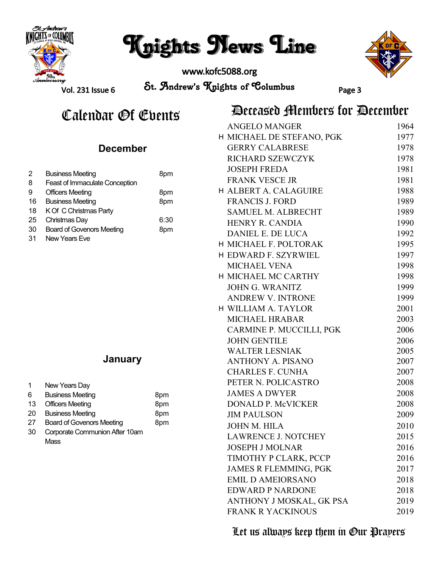

# Knights News Line

www.kofc5088.org



Vol. 231 Issue 6

St. Andrew's Knights of Columbus Page 3

### Calendar *O*f Events **Deceased Members for December**

|    | December                              |      |
|----|---------------------------------------|------|
| 2  | <b>Business Meeting</b>               | 8pm  |
| 8  | <b>Feast of Immaculate Conception</b> |      |
| 9  | Officers Meeting                      | 8pm  |
| 16 | <b>Business Meeting</b>               | 8pm  |
| 18 | K Of C Christmas Party                |      |
| 25 | Christmas Day                         | 6:30 |
| 30 | <b>Board of Govenors Meeting</b>      | 8pm  |
|    |                                       |      |

31 New Years Eve

#### **January**

| 1  | New Years Day                    |     |
|----|----------------------------------|-----|
| 6  | <b>Business Meeting</b>          | 8pm |
| 13 | <b>Officers Meeting</b>          | 8pm |
| 20 | <b>Business Meeting</b>          | 8pm |
| 27 | <b>Board of Govenors Meeting</b> | 8pm |
| 30 | Corporate Communion After 10am   |     |
|    | Mass                             |     |

| <b>ANGELO MANGER</b>       | 1964 |
|----------------------------|------|
| H MICHAEL DE STEFANO, PGK  | 1977 |
| <b>GERRY CALABRESE</b>     | 1978 |
| RICHARD SZEWCZYK           | 1978 |
| <b>JOSEPH FREDA</b>        | 1981 |
| <b>FRANK VESCE JR</b>      | 1981 |
| H ALBERT A. CALAGUIRE      | 1988 |
| <b>FRANCIS J. FORD</b>     | 1989 |
| <b>SAMUEL M. ALBRECHT</b>  | 1989 |
| <b>HENRY R. CANDIA</b>     | 1990 |
| <b>DANIEL E. DE LUCA</b>   | 1992 |
| H MICHAEL F. POLTORAK      | 1995 |
| H EDWARD F. SZYRWIEL       | 1997 |
| <b>MICHAEL VENA</b>        | 1998 |
| <b>H MICHAEL MC CARTHY</b> | 1998 |
| <b>JOHN G. WRANITZ</b>     | 1999 |
| <b>ANDREW V. INTRONE</b>   | 1999 |
| H WILLIAM A. TAYLOR        | 2001 |
| <b>MICHAEL HRABAR</b>      | 2003 |
| CARMINE P. MUCCILLI, PGK   | 2006 |
| <b>JOHN GENTILE</b>        | 2006 |
| <b>WALTER LESNIAK</b>      | 2005 |
| <b>ANTHONY A. PISANO</b>   | 2007 |
| <b>CHARLES F. CUNHA</b>    | 2007 |
| PETER N. POLICASTRO        | 2008 |
| <b>JAMES A DWYER</b>       | 2008 |
| <b>DONALD P. McVICKER</b>  | 2008 |
| <b>JIM PAULSON</b>         | 2009 |
| <b>JOHN M. HILA</b>        | 2010 |
| <b>LAWRENCE J. NOTCHEY</b> | 2015 |
| <b>JOSEPH J MOLNAR</b>     | 2016 |
| TIMOTHY P CLARK, PCCP      | 2016 |
| JAMES R FLEMMING, PGK      | 2017 |
| <b>EMIL D AMEIORSANO</b>   | 2018 |
| <b>EDWARD P NARDONE</b>    | 2018 |
| ANTHONY J MOSKAL, GK PSA   | 2019 |
| <b>FRANK R YACKINOUS</b>   | 2019 |

#### Let us always keep them in Our Prayers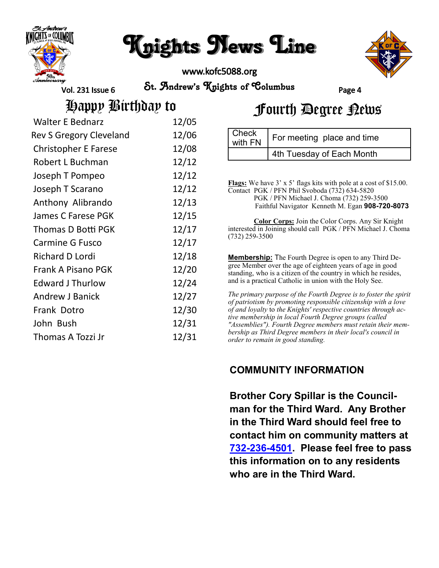

# Knights News Line

www.kofc5088.org



Vol. 231 Issue 6

St. Andrew's Knights of Columbus Page 4

| <b>Walter E Bednarz</b>     | 12/05 |
|-----------------------------|-------|
| Rev S Gregory Cleveland     | 12/06 |
| <b>Christopher E Farese</b> | 12/08 |
| Robert L Buchman            | 12/12 |
| Joseph T Pompeo             | 12/12 |
| Joseph T Scarano            | 12/12 |
| Anthony Alibrando           | 12/13 |
| James C Farese PGK          | 12/15 |
| Thomas D Botti PGK          | 12/17 |
| <b>Carmine G Fusco</b>      | 12/17 |
| <b>Richard D Lordi</b>      | 12/18 |
| Frank A Pisano PGK          | 12/20 |
| <b>Edward J Thurlow</b>     | 12/24 |
| <b>Andrew J Banick</b>      | 12/27 |
| Frank Dotro                 | 12/30 |
| John Bush                   | 12/31 |
| Thomas A Tozzi Jr           | 12/31 |

## Happy Birthday to Fourth Degree News

| <b>Check</b><br>with FN | For meeting place and time |
|-------------------------|----------------------------|
|                         | 4th Tuesday of Each Month  |

**Flags:** We have 3' x 5' flags kits with pole at a cost of \$15.00. Contact PGK / PFN Phil Svoboda (732) 634-5820 PGK / PFN Michael J. Choma (732) 259-3500 Faithful Navigator Kenneth M. Egan **908-720-8073 Color Corps:** Join the Color Corps. Any Sir Knight interested in Joining should call PGK / PFN Michael J. Choma (732) 259-3500

**Membership:** The Fourth Degree is open to any Third Degree Member over the age of eighteen years of age in good standing, who is a citizen of the country in which he resides, and is a practical Catholic in union with the Holy See.

*The primary purpose of the Fourth Degree is to foster the spirit of patriotism by promoting responsible citizenship with a love of and loyalty* to *the Knights' respective countries through active membership in local Fourth Degree groups (called "Assemblies"). Fourth Degree members must retain their membership as Third Degree members in their local's council in order to remain in good standing.*

#### **COMMUNITY INFORMATION**

**Brother Cory Spillar is the Councilman for the Third Ward. Any Brother in the Third Ward should feel free to contact him on community matters at 732-236-[4501.](tel:732-236-4501) Please feel free to pass this information on to any residents who are in the Third Ward.**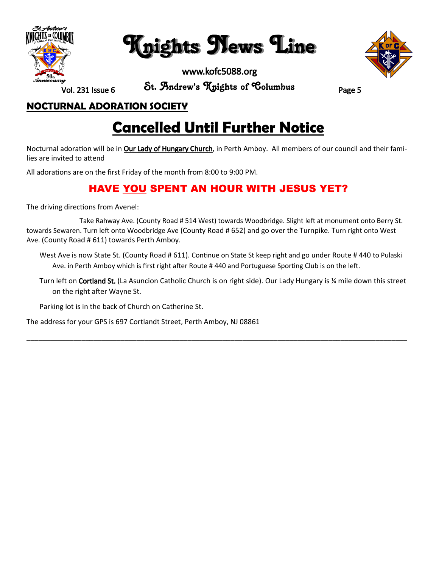

Knights News Line



Vol. 231 Issue 6

St. Andrew's Knights of Columbus Page 5

#### **NOCTURNAL ADORATION SOCIETY**

### **Cancelled Until Further Notice**

Nocturnal adoration will be in **Our Lady of Hungary Church**, in Perth Amboy. All members of our council and their families are invited to attend

All adorations are on the first Friday of the month from 8:00 to 9:00 PM.

#### **HAVE YOU SPENT AN HOUR WITH JESUS YET?**

The driving directions from Avenel:

 Take Rahway Ave. (County Road # 514 West) towards Woodbridge. Slight left at monument onto Berry St. towards Sewaren. Turn left onto Woodbridge Ave (County Road # 652) and go over the Turnpike. Turn right onto West Ave. (County Road # 611) towards Perth Amboy.

West Ave is now State St. (County Road # 611). Continue on State St keep right and go under Route # 440 to Pulaski Ave. in Perth Amboy which is first right after Route # 440 and Portuguese Sporting Club is on the left.

Turn left on Cortland St. (La Asuncion Catholic Church is on right side). Our Lady Hungary is ¼ mile down this street on the right after Wayne St.

\_\_\_\_\_\_\_\_\_\_\_\_\_\_\_\_\_\_\_\_\_\_\_\_\_\_\_\_\_\_\_\_\_\_\_\_\_\_\_\_\_\_\_\_\_\_\_\_\_\_\_\_\_\_\_\_\_\_\_\_\_\_\_\_\_\_\_\_\_\_\_\_\_\_\_\_\_\_\_\_\_\_\_\_\_\_\_\_\_\_\_\_\_\_\_\_\_

Parking lot is in the back of Church on Catherine St.

The address for your GPS is 697 Cortlandt Street, Perth Amboy, NJ 08861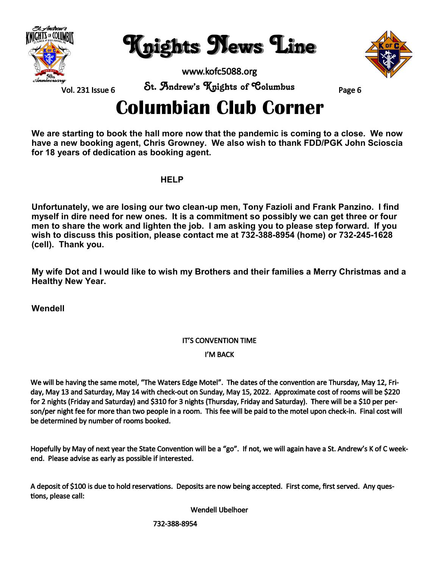

Knights News Line



Vol. 231 Issue 6

St. Andrew's Knights of Columbus Page 6

## **Columbian Club Corner**

**We are starting to book the hall more now that the pandemic is coming to a close. We now have a new booking agent, Chris Growney. We also wish to thank FDD/PGK John Scioscia for 18 years of dedication as booking agent.**

**HELP**

**Unfortunately, we are losing our two clean-up men, Tony Fazioli and Frank Panzino. I find myself in dire need for new ones. It is a commitment so possibly we can get three or four men to share the work and lighten the job. I am asking you to please step forward. If you wish to discuss this position, please contact me at 732-388-8954 (home) or 732-245-1628 (cell). Thank you.**

**My wife Dot and I would like to wish my Brothers and their families a Merry Christmas and a Healthy New Year.**

**Wendell** 

#### IT'S CONVENTION TIME

#### I'M BACK

We will be having the same motel, "The Waters Edge Motel". The dates of the convention are Thursday, May 12, Friday, May 13 and Saturday, May 14 with check-out on Sunday, May 15, 2022. Approximate cost of rooms will be \$220 for 2 nights (Friday and Saturday) and \$310 for 3 nights (Thursday, Friday and Saturday). There will be a \$10 per person/per night fee for more than two people in a room. This fee will be paid to the motel upon check-in. Final cost will be determined by number of rooms booked.

Hopefully by May of next year the State Convention will be a "go". If not, we will again have a St. Andrew's K of C weekend. Please advise as early as possible if interested.

A deposit of \$100 is due to hold reservations. Deposits are now being accepted. First come, first served. Any questions, please call:

Wendell Ubelhoer

732-388-8954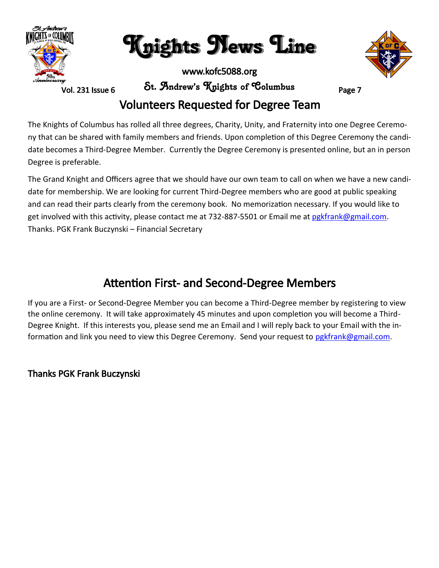

Knights News Line

Vol. 231 Issue 6

St. Andrew's Knights of Columbus Page 7

### Volunteers Requested for Degree Team

The Knights of Columbus has rolled all three degrees, Charity, Unity, and Fraternity into one Degree Ceremony that can be shared with family members and friends. Upon completion of this Degree Ceremony the candidate becomes a Third-Degree Member. Currently the Degree Ceremony is presented online, but an in person Degree is preferable.

The Grand Knight and Officers agree that we should have our own team to call on when we have a new candidate for membership. We are looking for current Third-Degree members who are good at public speaking and can read their parts clearly from the ceremony book. No memorization necessary. If you would like to get involved with this activity, please contact me at 732-887-5501 or Email me at pgkfrank@gmail.com. Thanks. PGK Frank Buczynski – Financial Secretary

### Attention First- and Second-Degree Members

If you are a First- or Second-Degree Member you can become a Third-Degree member by registering to view the online ceremony. It will take approximately 45 minutes and upon completion you will become a Third-Degree Knight. If this interests you, please send me an Email and I will reply back to your Email with the information and link you need to view this Degree Ceremony. Send your request to [pgkfrank@gmail.com.](mailto:pgkfrank@gmail.com)

#### Thanks PGK Frank Buczynski